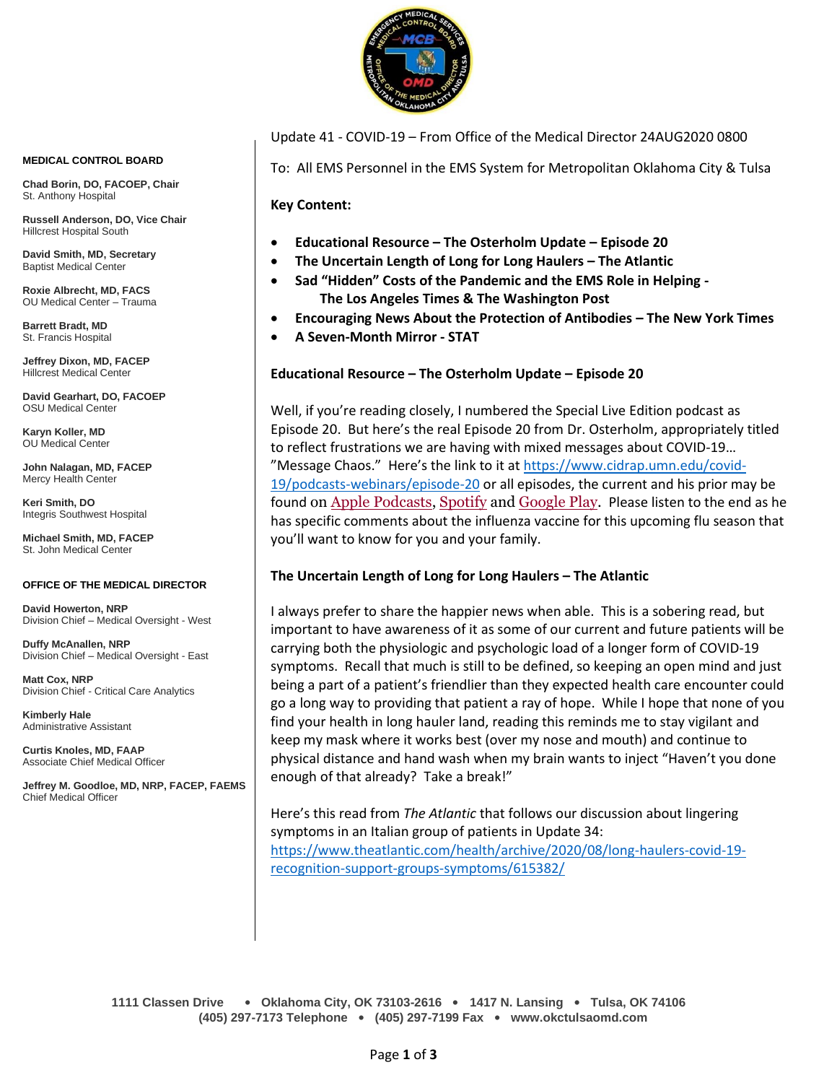

Update 41 - COVID-19 – From Office of the Medical Director 24AUG2020 0800

To: All EMS Personnel in the EMS System for Metropolitan Oklahoma City & Tulsa

**Key Content:**

- **Educational Resource – The Osterholm Update – Episode 20**
- **The Uncertain Length of Long for Long Haulers – The Atlantic**
- **Sad "Hidden" Costs of the Pandemic and the EMS Role in Helping - The Los Angeles Times & The Washington Post**
- **Encouraging News About the Protection of Antibodies – The New York Times**
- **A Seven-Month Mirror - STAT**

## **Educational Resource – The Osterholm Update – Episode 20**

Well, if you're reading closely, I numbered the Special Live Edition podcast as Episode 20. But here's the real Episode 20 from Dr. Osterholm, appropriately titled to reflect frustrations we are having with mixed messages about COVID-19… "Message Chaos." Here's the link to it at [https://www.cidrap.umn.edu/covid-](https://www.cidrap.umn.edu/covid-19/podcasts-webinars/episode-20)[19/podcasts-webinars/episode-20](https://www.cidrap.umn.edu/covid-19/podcasts-webinars/episode-20) or all episodes, the current and his prior may be found on Apple [Podcasts,](https://podcasts.apple.com/us/podcast/the-osterholm-update-covid-19/id1504360345) [Spotify](https://open.spotify.com/show/0ymlroFYVlSAnoq0uqECGx) and [Google Play.](https://play.google.com/music/listen#/ps/I3fioaqqcke5hdct6rzyryvyysa) Please listen to the end as he has specific comments about the influenza vaccine for this upcoming flu season that you'll want to know for you and your family.

# **The Uncertain Length of Long for Long Haulers – The Atlantic**

I always prefer to share the happier news when able. This is a sobering read, but important to have awareness of it as some of our current and future patients will be carrying both the physiologic and psychologic load of a longer form of COVID-19 symptoms. Recall that much is still to be defined, so keeping an open mind and just being a part of a patient's friendlier than they expected health care encounter could go a long way to providing that patient a ray of hope. While I hope that none of you find your health in long hauler land, reading this reminds me to stay vigilant and keep my mask where it works best (over my nose and mouth) and continue to physical distance and hand wash when my brain wants to inject "Haven't you done enough of that already? Take a break!"

Here's this read from *The Atlantic* that follows our discussion about lingering symptoms in an Italian group of patients in Update 34: [https://www.theatlantic.com/health/archive/2020/08/long-haulers-covid-19](https://www.theatlantic.com/health/archive/2020/08/long-haulers-covid-19-recognition-support-groups-symptoms/615382/) [recognition-support-groups-symptoms/615382/](https://www.theatlantic.com/health/archive/2020/08/long-haulers-covid-19-recognition-support-groups-symptoms/615382/)

#### **MEDICAL CONTROL BOARD**

**Chad Borin, DO, FACOEP, Chair**  St. Anthony Hospital

**Russell Anderson, DO, Vice Chair** Hillcrest Hospital South

**David Smith, MD, Secretary** Baptist Medical Center

**Roxie Albrecht, MD, FACS** OU Medical Center – Trauma

**Barrett Bradt, MD** St. Francis Hospital

**Jeffrey Dixon, MD, FACEP** Hillcrest Medical Center

**David Gearhart, DO, FACOEP** OSU Medical Center

**Karyn Koller, MD** OU Medical Center

**John Nalagan, MD, FACEP** Mercy Health Center

**Keri Smith, DO** Integris Southwest Hospital

**Michael Smith, MD, FACEP** St. John Medical Center

### **OFFICE OF THE MEDICAL DIRECTOR**

**David Howerton, NRP** Division Chief – Medical Oversight - West

**Duffy McAnallen, NRP** Division Chief – Medical Oversight - East

**Matt Cox, NRP** Division Chief - Critical Care Analytics

**Kimberly Hale** Administrative Assistant

**Curtis Knoles, MD, FAAP** Associate Chief Medical Officer

**Jeffrey M. Goodloe, MD, NRP, FACEP, FAEMS** Chief Medical Officer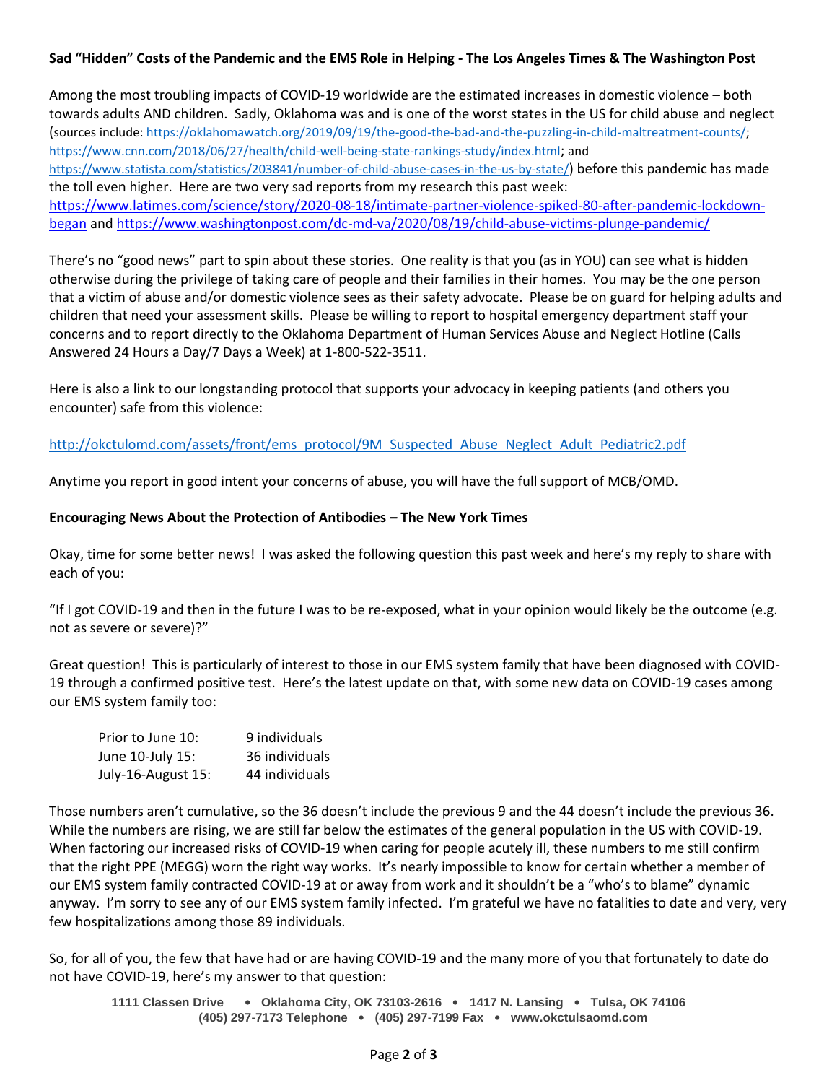### **Sad "Hidden" Costs of the Pandemic and the EMS Role in Helping - The Los Angeles Times & The Washington Post**

Among the most troubling impacts of COVID-19 worldwide are the estimated increases in domestic violence – both towards adults AND children. Sadly, Oklahoma was and is one of the worst states in the US for child abuse and neglect (sources include: [https://oklahomawatch.org/2019/09/19/the-good-the-bad-and-the-puzzling-in-child-maltreatment-counts/;](https://oklahomawatch.org/2019/09/19/the-good-the-bad-and-the-puzzling-in-child-maltreatment-counts/) <https://www.cnn.com/2018/06/27/health/child-well-being-state-rankings-study/index.html>; and <https://www.statista.com/statistics/203841/number-of-child-abuse-cases-in-the-us-by-state/>) before this pandemic has made the toll even higher. Here are two very sad reports from my research this past week: [https://www.latimes.com/science/story/2020-08-18/intimate-partner-violence-spiked-80-after-pandemic-lockdown](https://www.latimes.com/science/story/2020-08-18/intimate-partner-violence-spiked-80-after-pandemic-lockdown-began)[began](https://www.latimes.com/science/story/2020-08-18/intimate-partner-violence-spiked-80-after-pandemic-lockdown-began) and<https://www.washingtonpost.com/dc-md-va/2020/08/19/child-abuse-victims-plunge-pandemic/>

There's no "good news" part to spin about these stories. One reality is that you (as in YOU) can see what is hidden otherwise during the privilege of taking care of people and their families in their homes. You may be the one person that a victim of abuse and/or domestic violence sees as their safety advocate. Please be on guard for helping adults and children that need your assessment skills. Please be willing to report to hospital emergency department staff your concerns and to report directly to the Oklahoma Department of Human Services Abuse and Neglect Hotline (Calls Answered 24 Hours a Day/7 Days a Week) at 1-800-522-3511.

Here is also a link to our longstanding protocol that supports your advocacy in keeping patients (and others you encounter) safe from this violence:

[http://okctulomd.com/assets/front/ems\\_protocol/9M\\_Suspected\\_Abuse\\_Neglect\\_Adult\\_Pediatric2.pdf](http://okctulomd.com/assets/front/ems_protocol/9M_Suspected_Abuse_Neglect_Adult_Pediatric2.pdf)

Anytime you report in good intent your concerns of abuse, you will have the full support of MCB/OMD.

### **Encouraging News About the Protection of Antibodies – The New York Times**

Okay, time for some better news! I was asked the following question this past week and here's my reply to share with each of you:

"If I got COVID-19 and then in the future I was to be re-exposed, what in your opinion would likely be the outcome (e.g. not as severe or severe)?"

Great question! This is particularly of interest to those in our EMS system family that have been diagnosed with COVID-19 through a confirmed positive test. Here's the latest update on that, with some new data on COVID-19 cases among our EMS system family too:

| Prior to June 10:  | 9 individuals  |
|--------------------|----------------|
| June 10-July 15:   | 36 individuals |
| July-16-August 15: | 44 individuals |

Those numbers aren't cumulative, so the 36 doesn't include the previous 9 and the 44 doesn't include the previous 36. While the numbers are rising, we are still far below the estimates of the general population in the US with COVID-19. When factoring our increased risks of COVID-19 when caring for people acutely ill, these numbers to me still confirm that the right PPE (MEGG) worn the right way works. It's nearly impossible to know for certain whether a member of our EMS system family contracted COVID-19 at or away from work and it shouldn't be a "who's to blame" dynamic anyway. I'm sorry to see any of our EMS system family infected. I'm grateful we have no fatalities to date and very, very few hospitalizations among those 89 individuals.

So, for all of you, the few that have had or are having COVID-19 and the many more of you that fortunately to date do not have COVID-19, here's my answer to that question: